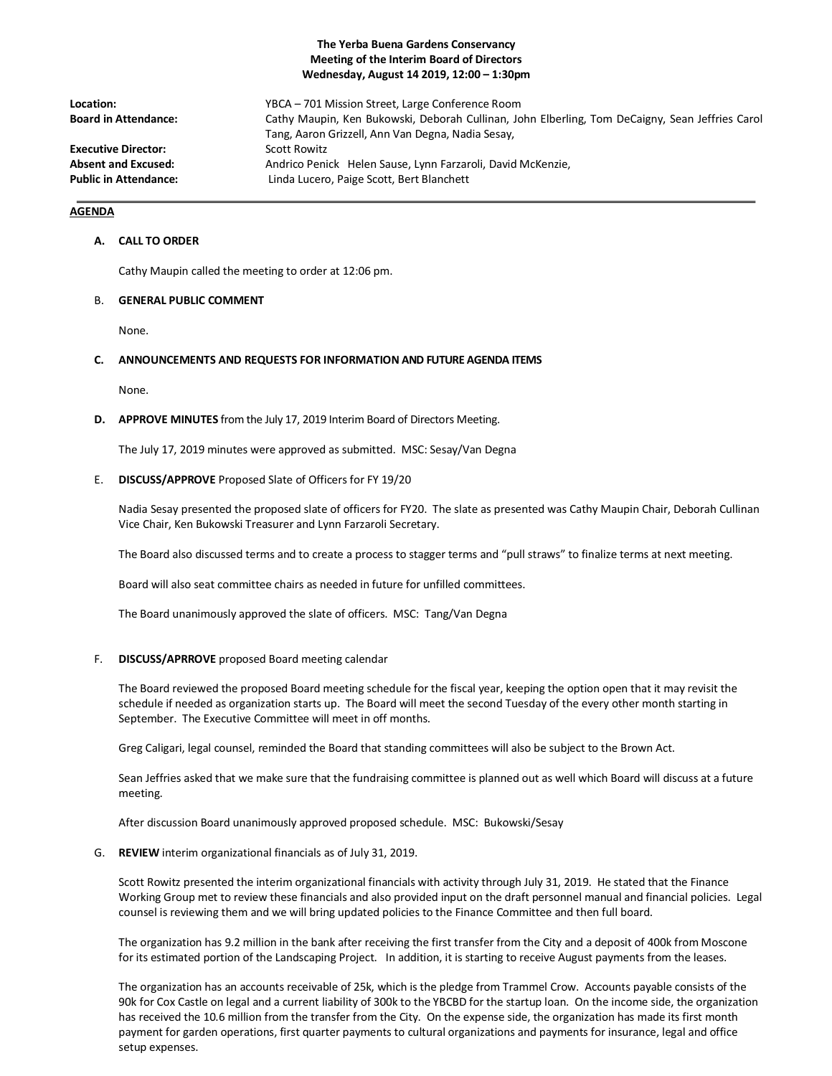# **The Yerba Buena Gardens Conservancy Meeting of the Interim Board of Directors Wednesday, August 14 2019, 12:00 – 1:30pm**

| Location:                    | YBCA – 701 Mission Street, Large Conference Room                                                |
|------------------------------|-------------------------------------------------------------------------------------------------|
| <b>Board in Attendance:</b>  | Cathy Maupin, Ken Bukowski, Deborah Cullinan, John Elberling, Tom DeCaigny, Sean Jeffries Carol |
|                              | Tang, Aaron Grizzell, Ann Van Degna, Nadia Sesay,                                               |
| <b>Executive Director:</b>   | Scott Rowitz                                                                                    |
| <b>Absent and Excused:</b>   | Andrico Penick Helen Sause, Lynn Farzaroli, David McKenzie,                                     |
| <b>Public in Attendance:</b> | Linda Lucero, Paige Scott, Bert Blanchett                                                       |

# **AGENDA**

### **A. CALL TO ORDER**

Cathy Maupin called the meeting to order at 12:06 pm.

#### B. **GENERAL PUBLIC COMMENT**

None.

# **C. ANNOUNCEMENTS AND REQUESTS FOR INFORMATION AND FUTURE AGENDA ITEMS**

None.

#### **D. APPROVE MINUTES** from the July 17, 2019 Interim Board of Directors Meeting.

The July 17, 2019 minutes were approved as submitted. MSC: Sesay/Van Degna

#### E. **DISCUSS/APPROVE** Proposed Slate of Officers for FY 19/20

Nadia Sesay presented the proposed slate of officers for FY20. The slate as presented was Cathy Maupin Chair, Deborah Cullinan Vice Chair, Ken Bukowski Treasurer and Lynn Farzaroli Secretary.

The Board also discussed terms and to create a process to stagger terms and "pull straws" to finalize terms at next meeting.

Board will also seat committee chairs as needed in future for unfilled committees.

The Board unanimously approved the slate of officers. MSC: Tang/Van Degna

## F. **DISCUSS/APRROVE** proposed Board meeting calendar

The Board reviewed the proposed Board meeting schedule for the fiscal year, keeping the option open that it may revisit the schedule if needed as organization starts up. The Board will meet the second Tuesday of the every other month starting in September. The Executive Committee will meet in off months.

Greg Caligari, legal counsel, reminded the Board that standing committees will also be subject to the Brown Act.

Sean Jeffries asked that we make sure that the fundraising committee is planned out as well which Board will discuss at a future meeting.

After discussion Board unanimously approved proposed schedule. MSC: Bukowski/Sesay

## G. **REVIEW** interim organizational financials as of July 31, 2019.

Scott Rowitz presented the interim organizational financials with activity through July 31, 2019. He stated that the Finance Working Group met to review these financials and also provided input on the draft personnel manual and financial policies. Legal counsel is reviewing them and we will bring updated policies to the Finance Committee and then full board.

The organization has 9.2 million in the bank after receiving the first transfer from the City and a deposit of 400k from Moscone for its estimated portion of the Landscaping Project. In addition, it is starting to receive August payments from the leases.

The organization has an accounts receivable of 25k, which is the pledge from Trammel Crow. Accounts payable consists of the 90k for Cox Castle on legal and a current liability of 300k to the YBCBD for the startup loan. On the income side, the organization has received the 10.6 million from the transfer from the City. On the expense side, the organization has made its first month payment for garden operations, first quarter payments to cultural organizations and payments for insurance, legal and office setup expenses.